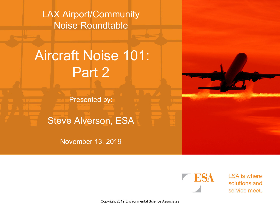LAX Airport/Community Noise Roundtable

# Aircraft Noise 101: Part 2

Presented by:

Steve Alverson, ESA

November 13, 2019



**ESA** is where solutions and service meet.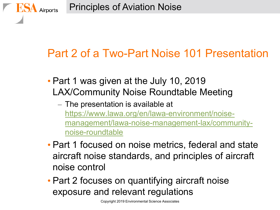### Part 2 of a Two-Part Noise 101 Presentation

- Part 1 was given at the July 10, 2019 LAX/Community Noise Roundtable Meeting
	- The presentation is available at [https://www.lawa.org/en/lawa-environment/noise](https://www.lawa.org/en/lawa-environment/noise-management/lawa-noise-management-lax/community-noise-roundtable)[management/lawa-noise-management-lax/community](https://www.lawa.org/en/lawa-environment/noise-management/lawa-noise-management-lax/community-noise-roundtable)[noise-roundtable](https://www.lawa.org/en/lawa-environment/noise-management/lawa-noise-management-lax/community-noise-roundtable)
- Part 1 focused on noise metrics, federal and state aircraft noise standards, and principles of aircraft noise control
- Part 2 focuses on quantifying aircraft noise exposure and relevant regulations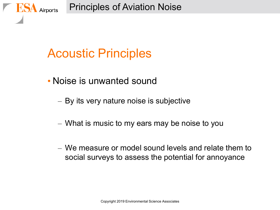Principles of Aviation Noise

### Acoustic Principles

Airports

- Noise is unwanted sound
	- By its very nature noise is subjective
	- What is music to my ears may be noise to you
	- We measure or model sound levels and relate them to social surveys to assess the potential for annoyance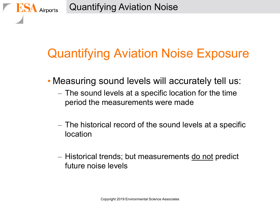Airports

# Quantifying Aviation Noise Exposure

- Measuring sound levels will accurately tell us:
	- The sound levels at a specific location for the time period the measurements were made
	- The historical record of the sound levels at a specific location
	- Historical trends; but measurements do not predict future noise levels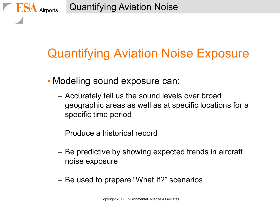Airports

# Quantifying Aviation Noise Exposure

- Modeling sound exposure can:
	- Accurately tell us the sound levels over broad geographic areas as well as at specific locations for a specific time period
	- Produce a historical record
	- Be predictive by showing expected trends in aircraft noise exposure
	- Be used to prepare "What If?" scenarios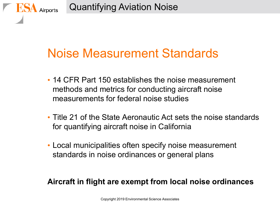Airports

### Noise Measurement Standards

- 14 CFR Part 150 establishes the noise measurement methods and metrics for conducting aircraft noise measurements for federal noise studies
- Title 21 of the State Aeronautic Act sets the noise standards for quantifying aircraft noise in California
- Local municipalities often specify noise measurement standards in noise ordinances or general plans

#### **Aircraft in flight are exempt from local noise ordinances**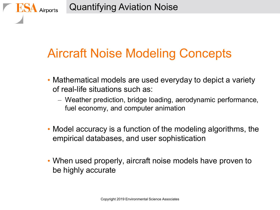Airports

### Aircraft Noise Modeling Concepts

- Mathematical models are used everyday to depict a variety of real-life situations such as:
	- Weather prediction, bridge loading, aerodynamic performance, fuel economy, and computer animation
- Model accuracy is a function of the modeling algorithms, the empirical databases, and user sophistication
- When used properly, aircraft noise models have proven to be highly accurate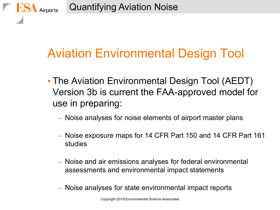Airports

## Aviation Environmental Design Tool

- The Aviation Environmental Design Tool (AEDT) Version 3b is current the FAA-approved model for use in preparing:
	- Noise analyses for noise elements of airport master plans
	- Noise exposure maps for 14 CFR Part 150 and 14 CFR Part 161 studies
	- Noise and air emissions analyses for federal environmental assessments and environmental impact statements
	- Noise analyses for state environmental impact reports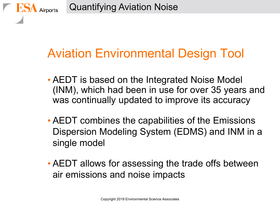Airports

### Aviation Environmental Design Tool

- AEDT is based on the Integrated Noise Model (INM), which had been in use for over 35 years and was continually updated to improve its accuracy
- AEDT combines the capabilities of the Emissions Dispersion Modeling System (EDMS) and INM in a single model
- AEDT allows for assessing the trade offs between air emissions and noise impacts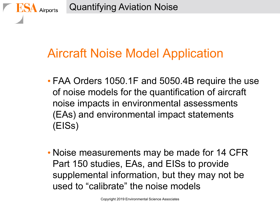Airports

## Aircraft Noise Model Application

- FAA Orders 1050.1F and 5050.4B require the use of noise models for the quantification of aircraft noise impacts in environmental assessments (EAs) and environmental impact statements (EISs)
- Noise measurements may be made for 14 CFR Part 150 studies, EAs, and EISs to provide supplemental information, but they may not be used to "calibrate" the noise models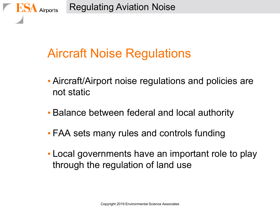# Aircraft Noise Regulations

- Aircraft/Airport noise regulations and policies are not static
- Balance between federal and local authority
- FAA sets many rules and controls funding
- Local governments have an important role to play through the regulation of land use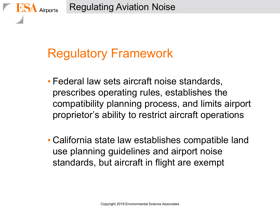# Regulatory Framework

Airports

- Federal law sets aircraft noise standards, prescribes operating rules, establishes the compatibility planning process, and limits airport proprietor's ability to restrict aircraft operations
- California state law establishes compatible land use planning guidelines and airport noise standards, but aircraft in flight are exempt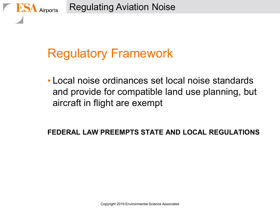# Regulatory Framework

Airports

• Local noise ordinances set local noise standards and provide for compatible land use planning, but aircraft in flight are exempt

#### **FEDERAL LAW PREEMPTS STATE AND LOCAL REGULATIONS**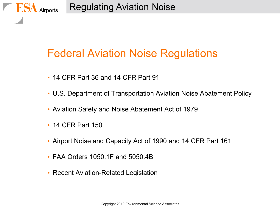Regulating Aviation Noise

### Federal Aviation Noise Regulations

- 14 CFR Part 36 and 14 CFR Part 91
- U.S. Department of Transportation Aviation Noise Abatement Policy
- Aviation Safety and Noise Abatement Act of 1979
- 14 CFR Part 150

Airports

- Airport Noise and Capacity Act of 1990 and 14 CFR Part 161
- FAA Orders 1050.1F and 5050.4B
- Recent Aviation-Related Legislation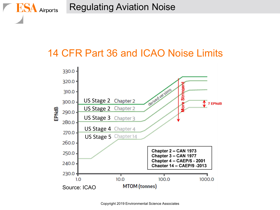Regulating Aviation Noise

**ES** 

Airports

### 14 CFR Part 36 and ICAO Noise Limits



Copyright 2019 Environmental Science Associates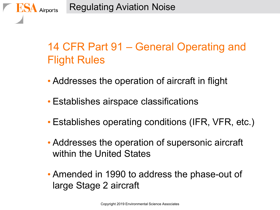### 14 CFR Part 91 – General Operating and Flight Rules

- Addresses the operation of aircraft in flight
- Establishes airspace classifications
- Establishes operating conditions (IFR, VFR, etc.)
- Addresses the operation of supersonic aircraft within the United States
- Amended in 1990 to address the phase-out of large Stage 2 aircraft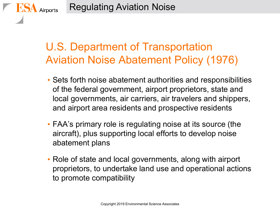### U.S. Department of Transportation Aviation Noise Abatement Policy (1976)

- Sets forth noise abatement authorities and responsibilities of the federal government, airport proprietors, state and local governments, air carriers, air travelers and shippers, and airport area residents and prospective residents
- FAA's primary role is regulating noise at its source (the aircraft), plus supporting local efforts to develop noise abatement plans
- Role of state and local governments, along with airport proprietors, to undertake land use and operational actions to promote compatibility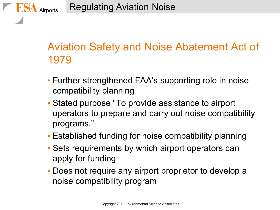### Aviation Safety and Noise Abatement Act of 1979

- Further strengthened FAA's supporting role in noise compatibility planning
- Stated purpose "To provide assistance to airport operators to prepare and carry out noise compatibility programs."
- Established funding for noise compatibility planning
- Sets requirements by which airport operators can apply for funding
- Does not require any airport proprietor to develop a noise compatibility program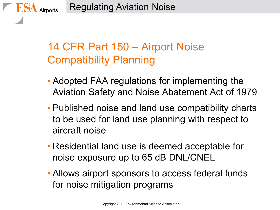### 14 CFR Part 150 – Airport Noise Compatibility Planning

- Adopted FAA regulations for implementing the Aviation Safety and Noise Abatement Act of 1979
- Published noise and land use compatibility charts to be used for land use planning with respect to aircraft noise
- Residential land use is deemed acceptable for noise exposure up to 65 dB DNL/CNEL
- Allows airport sponsors to access federal funds for noise mitigation programs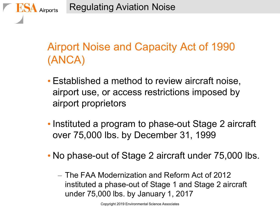Regulating Aviation Noise

Airports

### Airport Noise and Capacity Act of 1990 (ANCA)

- Established a method to review aircraft noise, airport use, or access restrictions imposed by airport proprietors
- Instituted a program to phase-out Stage 2 aircraft over 75,000 lbs. by December 31, 1999
- No phase-out of Stage 2 aircraft under 75,000 lbs.
	- The FAA Modernization and Reform Act of 2012 instituted a phase-out of Stage 1 and Stage 2 aircraft under 75,000 lbs. by January 1, 2017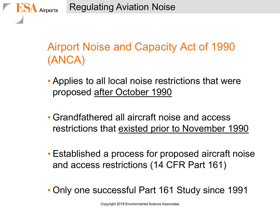Regulating Aviation Noise

Airports

### Airport Noise and Capacity Act of 1990 (ANCA)

- Applies to all local noise restrictions that were proposed after October 1990
- Grandfathered all aircraft noise and access restrictions that existed prior to November 1990
- Established a process for proposed aircraft noise and access restrictions (14 CFR Part 161)
- Only one successful Part 161 Study since 1991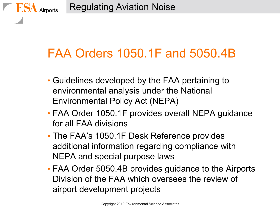# FAA Orders 1050.1F and 5050.4B

- Guidelines developed by the FAA pertaining to environmental analysis under the National Environmental Policy Act (NEPA)
- FAA Order 1050.1F provides overall NEPA guidance for all FAA divisions
- The FAA's 1050.1F Desk Reference provides additional information regarding compliance with NEPA and special purpose laws
- FAA Order 5050.4B provides guidance to the Airports Division of the FAA which oversees the review of airport development projects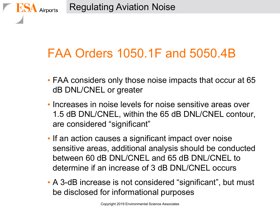# FAA Orders 1050.1F and 5050.4B

- FAA considers only those noise impacts that occur at 65 dB DNL/CNEL or greater
- Increases in noise levels for noise sensitive areas over 1.5 dB DNL/CNEL, within the 65 dB DNL/CNEL contour, are considered "significant"
- If an action causes a significant impact over noise sensitive areas, additional analysis should be conducted between 60 dB DNL/CNEL and 65 dB DNL/CNEL to determine if an increase of 3 dB DNL/CNEL occurs
- A 3-dB increase is not considered "significant", but must be disclosed for informational purposes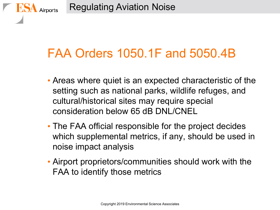# FAA Orders 1050.1F and 5050.4B

- Areas where quiet is an expected characteristic of the setting such as national parks, wildlife refuges, and cultural/historical sites may require special consideration below 65 dB DNL/CNEL
- The FAA official responsible for the project decides which supplemental metrics, if any, should be used in noise impact analysis
- Airport proprietors/communities should work with the FAA to identify those metrics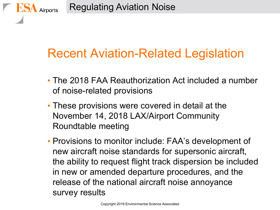## Recent Aviation-Related Legislation

- The 2018 FAA Reauthorization Act included a number of noise-related provisions
- These provisions were covered in detail at the November 14, 2018 LAX/Airport Community Roundtable meeting
- Provisions to monitor include: FAA's development of new aircraft noise standards for supersonic aircraft, the ability to request flight track dispersion be included in new or amended departure procedures, and the release of the national aircraft noise annoyance survey results